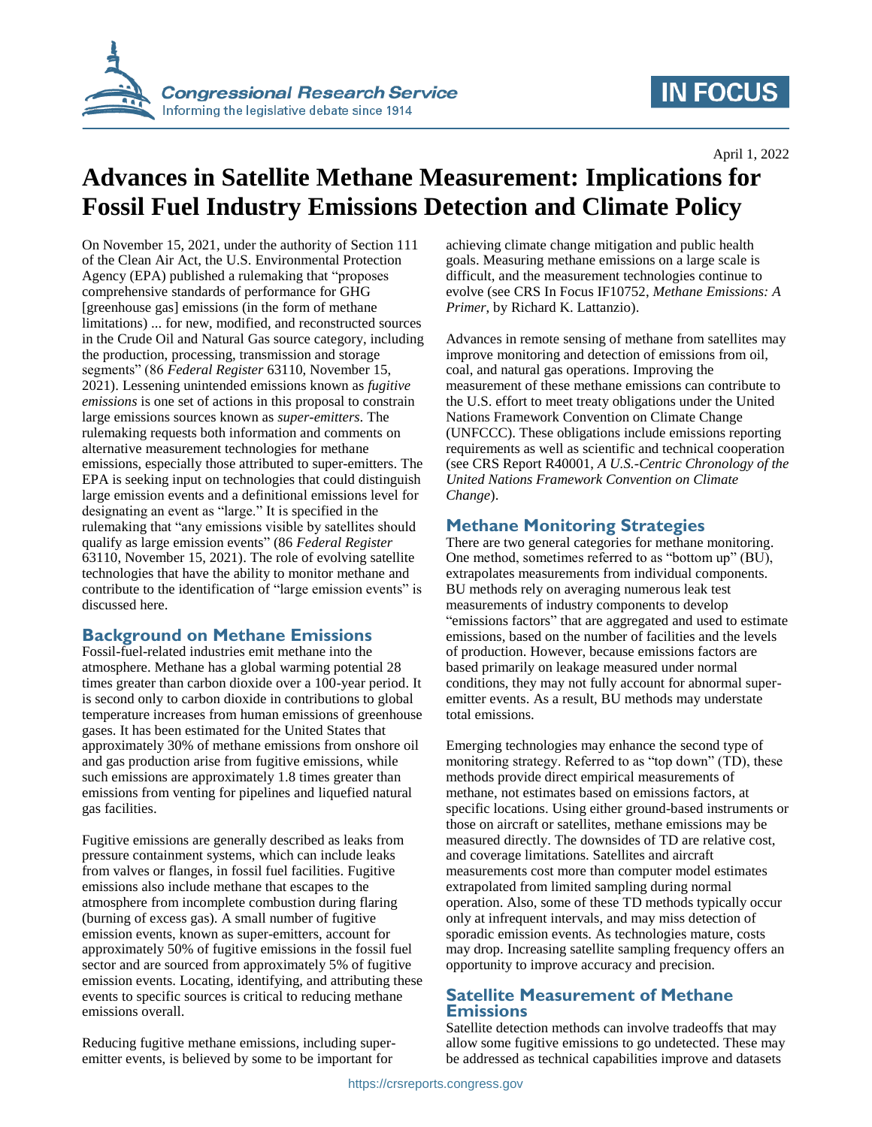

## **IN FOCUS**

April 1, 2022

# **Advances in Satellite Methane Measurement: Implications for Fossil Fuel Industry Emissions Detection and Climate Policy**

On November 15, 2021, under the authority of Section 111 of the Clean Air Act, the U.S. Environmental Protection Agency (EPA) published a rulemaking that "proposes comprehensive standards of performance for GHG [greenhouse gas] emissions (in the form of methane limitations) ... for new, modified, and reconstructed sources in the Crude Oil and Natural Gas source category, including the production, processing, transmission and storage segments" (86 *Federal Register* 63110, November 15, 2021). Lessening unintended emissions known as *fugitive emissions* is one set of actions in this proposal to constrain large emissions sources known as *super-emitters*. The rulemaking requests both information and comments on alternative measurement technologies for methane emissions, especially those attributed to super-emitters. The EPA is seeking input on technologies that could distinguish large emission events and a definitional emissions level for designating an event as "large." It is specified in the rulemaking that "any emissions visible by satellites should qualify as large emission events" (86 *Federal Register*  63110, November 15, 2021). The role of evolving satellite technologies that have the ability to monitor methane and contribute to the identification of "large emission events" is discussed here.

#### **Background on Methane Emissions**

Fossil-fuel-related industries emit methane into the atmosphere. Methane has a global warming potential 28 times greater than carbon dioxide over a 100-year period. It is second only to carbon dioxide in contributions to global temperature increases from human emissions of greenhouse gases. It has been estimated for the United States that approximately 30% of methane emissions from onshore oil and gas production arise from fugitive emissions, while such emissions are approximately 1.8 times greater than emissions from venting for pipelines and liquefied natural gas facilities.

Fugitive emissions are generally described as leaks from pressure containment systems, which can include leaks from valves or flanges, in fossil fuel facilities. Fugitive emissions also include methane that escapes to the atmosphere from incomplete combustion during flaring (burning of excess gas). A small number of fugitive emission events, known as super-emitters, account for approximately 50% of fugitive emissions in the fossil fuel sector and are sourced from approximately 5% of fugitive emission events. Locating, identifying, and attributing these events to specific sources is critical to reducing methane emissions overall.

Reducing fugitive methane emissions, including superemitter events, is believed by some to be important for

achieving climate change mitigation and public health goals. Measuring methane emissions on a large scale is difficult, and the measurement technologies continue to evolve (see CRS In Focus IF10752, *Methane Emissions: A Primer*, by Richard K. Lattanzio).

Advances in remote sensing of methane from satellites may improve monitoring and detection of emissions from oil, coal, and natural gas operations. Improving the measurement of these methane emissions can contribute to the U.S. effort to meet treaty obligations under the United Nations Framework Convention on Climate Change (UNFCCC). These obligations include emissions reporting requirements as well as scientific and technical cooperation (see CRS Report R40001, *A U.S.-Centric Chronology of the United Nations Framework Convention on Climate Change*).

### **Methane Monitoring Strategies**

There are two general categories for methane monitoring. One method, sometimes referred to as "bottom up" (BU), extrapolates measurements from individual components. BU methods rely on averaging numerous leak test measurements of industry components to develop "emissions factors" that are aggregated and used to estimate emissions, based on the number of facilities and the levels of production. However, because emissions factors are based primarily on leakage measured under normal conditions, they may not fully account for abnormal superemitter events. As a result, BU methods may understate total emissions.

Emerging technologies may enhance the second type of monitoring strategy. Referred to as "top down" (TD), these methods provide direct empirical measurements of methane, not estimates based on emissions factors, at specific locations. Using either ground-based instruments or those on aircraft or satellites, methane emissions may be measured directly. The downsides of TD are relative cost, and coverage limitations. Satellites and aircraft measurements cost more than computer model estimates extrapolated from limited sampling during normal operation. Also, some of these TD methods typically occur only at infrequent intervals, and may miss detection of sporadic emission events. As technologies mature, costs may drop. Increasing satellite sampling frequency offers an opportunity to improve accuracy and precision.

#### **Satellite Measurement of Methane Emissions**

Satellite detection methods can involve tradeoffs that may allow some fugitive emissions to go undetected. These may be addressed as technical capabilities improve and datasets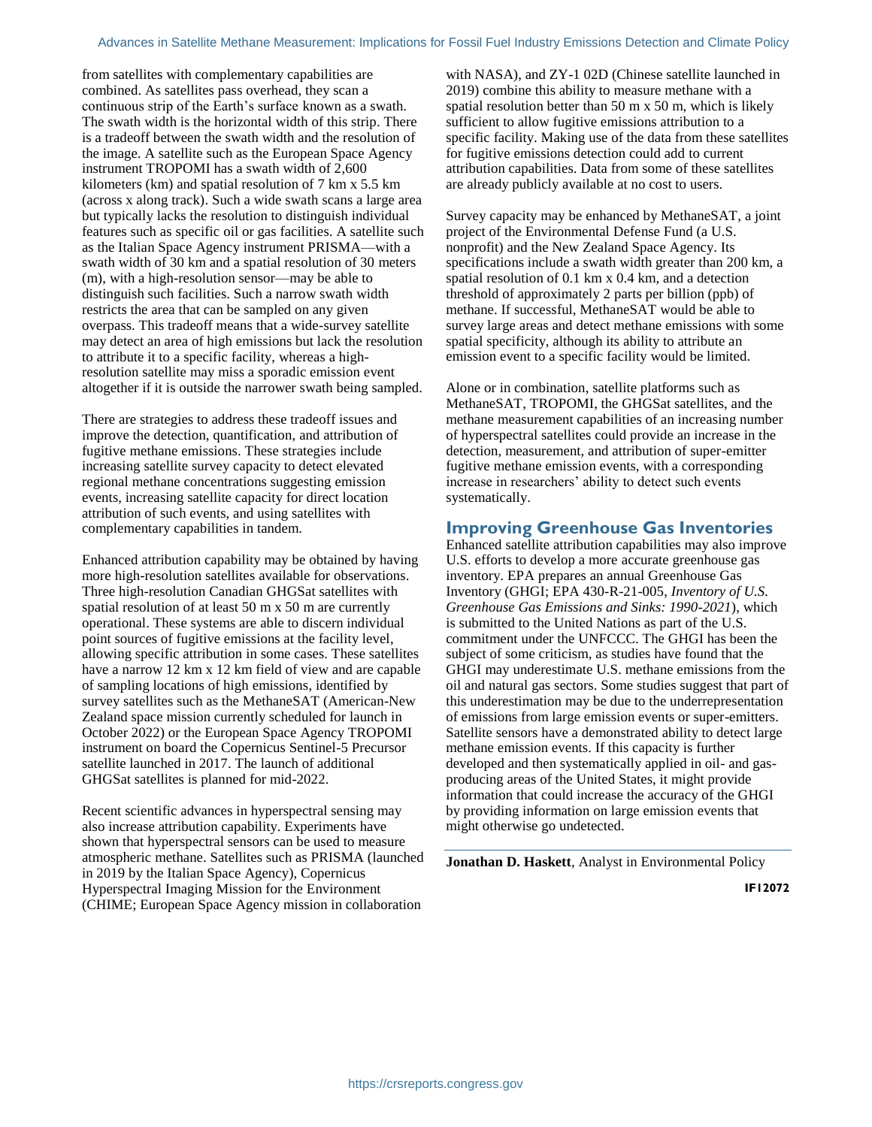from satellites with complementary capabilities are combined. As satellites pass overhead, they scan a continuous strip of the Earth's surface known as a swath. The swath width is the horizontal width of this strip. There is a tradeoff between the swath width and the resolution of the image. A satellite such as the European Space Agency instrument TROPOMI has a swath width of 2,600 kilometers (km) and spatial resolution of 7 km x 5.5 km (across x along track). Such a wide swath scans a large area but typically lacks the resolution to distinguish individual features such as specific oil or gas facilities. A satellite such as the Italian Space Agency instrument PRISMA—with a swath width of 30 km and a spatial resolution of 30 meters (m), with a high-resolution sensor—may be able to distinguish such facilities. Such a narrow swath width restricts the area that can be sampled on any given overpass. This tradeoff means that a wide-survey satellite may detect an area of high emissions but lack the resolution to attribute it to a specific facility, whereas a highresolution satellite may miss a sporadic emission event altogether if it is outside the narrower swath being sampled.

There are strategies to address these tradeoff issues and improve the detection, quantification, and attribution of fugitive methane emissions. These strategies include increasing satellite survey capacity to detect elevated regional methane concentrations suggesting emission events, increasing satellite capacity for direct location attribution of such events, and using satellites with complementary capabilities in tandem.

Enhanced attribution capability may be obtained by having more high-resolution satellites available for observations. Three high-resolution Canadian GHGSat satellites with spatial resolution of at least 50 m x 50 m are currently operational. These systems are able to discern individual point sources of fugitive emissions at the facility level, allowing specific attribution in some cases. These satellites have a narrow 12 km x 12 km field of view and are capable of sampling locations of high emissions, identified by survey satellites such as the MethaneSAT (American-New Zealand space mission currently scheduled for launch in October 2022) or the European Space Agency TROPOMI instrument on board the Copernicus Sentinel-5 Precursor satellite launched in 2017. The launch of additional GHGSat satellites is planned for mid-2022.

Recent scientific advances in hyperspectral sensing may also increase attribution capability. Experiments have shown that hyperspectral sensors can be used to measure atmospheric methane. Satellites such as PRISMA (launched in 2019 by the Italian Space Agency), Copernicus Hyperspectral Imaging Mission for the Environment (CHIME; European Space Agency mission in collaboration

with NASA), and ZY-1 02D (Chinese satellite launched in 2019) combine this ability to measure methane with a spatial resolution better than 50 m x 50 m, which is likely sufficient to allow fugitive emissions attribution to a specific facility. Making use of the data from these satellites for fugitive emissions detection could add to current attribution capabilities. Data from some of these satellites are already publicly available at no cost to users.

Survey capacity may be enhanced by MethaneSAT, a joint project of the Environmental Defense Fund (a U.S. nonprofit) and the New Zealand Space Agency. Its specifications include a swath width greater than 200 km, a spatial resolution of 0.1 km x 0.4 km, and a detection threshold of approximately 2 parts per billion (ppb) of methane. If successful, MethaneSAT would be able to survey large areas and detect methane emissions with some spatial specificity, although its ability to attribute an emission event to a specific facility would be limited.

Alone or in combination, satellite platforms such as MethaneSAT, TROPOMI, the GHGSat satellites, and the methane measurement capabilities of an increasing number of hyperspectral satellites could provide an increase in the detection, measurement, and attribution of super-emitter fugitive methane emission events, with a corresponding increase in researchers' ability to detect such events systematically.

#### **Improving Greenhouse Gas Inventories**

Enhanced satellite attribution capabilities may also improve U.S. efforts to develop a more accurate greenhouse gas inventory. EPA prepares an annual Greenhouse Gas Inventory (GHGI; EPA 430-R-21-005, *Inventory of U.S. Greenhouse Gas Emissions and Sinks: 1990-2021*), which is submitted to the United Nations as part of the U.S. commitment under the UNFCCC. The GHGI has been the subject of some criticism, as studies have found that the GHGI may underestimate U.S. methane emissions from the oil and natural gas sectors. Some studies suggest that part of this underestimation may be due to the underrepresentation of emissions from large emission events or super-emitters. Satellite sensors have a demonstrated ability to detect large methane emission events. If this capacity is further developed and then systematically applied in oil- and gasproducing areas of the United States, it might provide information that could increase the accuracy of the GHGI by providing information on large emission events that might otherwise go undetected.

**Jonathan D. Haskett**, Analyst in Environmental Policy

**IF12072**